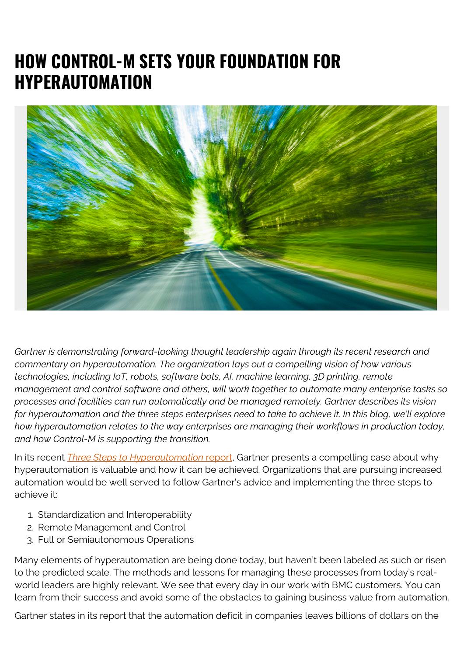## **HOW CONTROL-M SETS YOUR FOUNDATION FOR HYPERAUTOMATION**



*Gartner is demonstrating forward-looking thought leadership again through its recent research and commentary on hyperautomation. The organization lays out a compelling vision of how various technologies, including IoT, robots, software bots, AI, machine learning, 3D printing, remote management and control software and others, will work together to automate many enterprise tasks so processes and facilities can run automatically and be managed remotely. Gartner describes its vision for hyperautomation and the three steps enterprises need to take to achieve it. In this blog, we'll explore how hyperautomation relates to the way enterprises are managing their workflows in production today, and how Control-M is supporting the transition.*

In its recent *[Three Steps to Hyperautomation](https://www.gartner.com/en/documents/3989269/three-steps-to-hyperautomation)* [report](https://www.gartner.com/en/documents/3989269/three-steps-to-hyperautomation), Gartner presents a compelling case about why hyperautomation is valuable and how it can be achieved. Organizations that are pursuing increased automation would be well served to follow Gartner's advice and implementing the three steps to achieve it:

- 1. Standardization and Interoperability
- 2. Remote Management and Control
- 3. Full or Semiautonomous Operations

Many elements of hyperautomation are being done today, but haven't been labeled as such or risen to the predicted scale. The methods and lessons for managing these processes from today's realworld leaders are highly relevant. We see that every day in our work with BMC customers. You can learn from their success and avoid some of the obstacles to gaining business value from automation.

Gartner states in its report that the automation deficit in companies leaves billions of dollars on the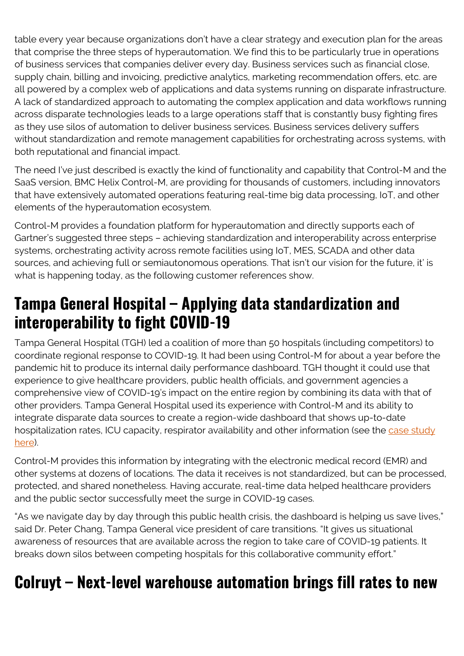table every year because organizations don't have a clear strategy and execution plan for the areas that comprise the three steps of hyperautomation. We find this to be particularly true in operations of business services that companies deliver every day. Business services such as financial close, supply chain, billing and invoicing, predictive analytics, marketing recommendation offers, etc. are all powered by a complex web of applications and data systems running on disparate infrastructure. A lack of standardized approach to automating the complex application and data workflows running across disparate technologies leads to a large operations staff that is constantly busy fighting fires as they use silos of automation to deliver business services. Business services delivery suffers without standardization and remote management capabilities for orchestrating across systems, with both reputational and financial impact.

The need I've just described is exactly the kind of functionality and capability that Control-M and the SaaS version, BMC Helix Control-M, are providing for thousands of customers, including innovators that have extensively automated operations featuring real-time big data processing, IoT, and other elements of the hyperautomation ecosystem.

Control-M provides a foundation platform for hyperautomation and directly supports each of Gartner's suggested three steps – achieving standardization and interoperability across enterprise systems, orchestrating activity across remote facilities using IoT, MES, SCADA and other data sources, and achieving full or semiautonomous operations. That isn't our vision for the future, it' is what is happening today, as the following customer references show.

### **Tampa General Hospital – Applying data standardization and interoperability to fight COVID-19**

Tampa General Hospital (TGH) led a coalition of more than 50 hospitals (including competitors) to coordinate regional response to COVID-19. It had been using Control-M for about a year before the pandemic hit to produce its internal daily performance dashboard. TGH thought it could use that experience to give healthcare providers, public health officials, and government agencies a comprehensive view of COVID-19's impact on the entire region by combining its data with that of other providers. Tampa General Hospital used its experience with Control-M and its ability to integrate disparate data sources to create a region-wide dashboard that shows up-to-date hospitalization rates, ICU capacity, respirator availability and other information (see the [case study](https://blogs.bmc.com/customers/tampa-general-hospital.html) [here](https://blogs.bmc.com/customers/tampa-general-hospital.html)).

Control-M provides this information by integrating with the electronic medical record (EMR) and other systems at dozens of locations. The data it receives is not standardized, but can be processed, protected, and shared nonetheless. Having accurate, real-time data helped healthcare providers and the public sector successfully meet the surge in COVID-19 cases.

"As we navigate day by day through this public health crisis, the dashboard is helping us save lives," said Dr. Peter Chang, Tampa General vice president of care transitions. "It gives us situational awareness of resources that are available across the region to take care of COVID-19 patients. It breaks down silos between competing hospitals for this collaborative community effort."

## **Colruyt – Next-level warehouse automation brings fill rates to new**